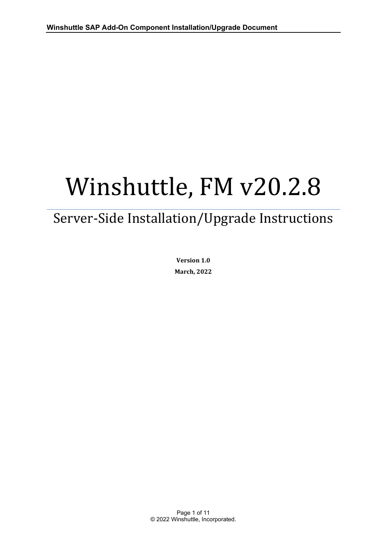# Winshuttle, FM v20.2.8

# Server-Side Installation/Upgrade Instructions

**Version 1.0 March, 2022**

Page 1 of 11 © 2022 Winshuttle, Incorporated.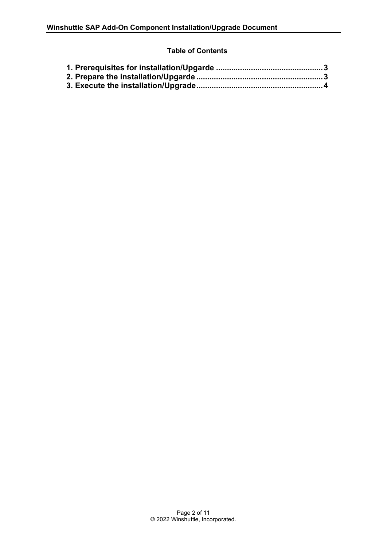# **Table of Contents**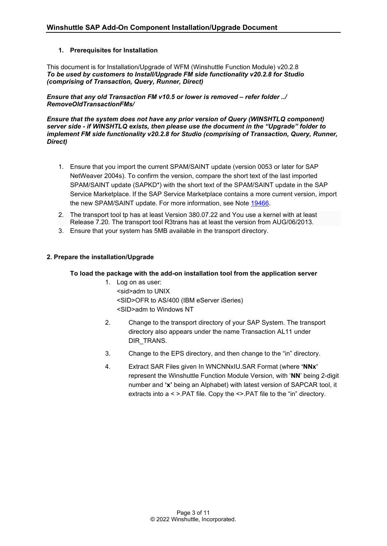#### <span id="page-2-0"></span>**1. Prerequisites for Installation**

This document is for Installation/Upgrade of WFM (Winshuttle Function Module) v20.2.8 *To be used by customers to Install/Upgrade FM side functionality v20.2.8 for Studio (comprising of Transaction, Query, Runner, Direct)* 

*Ensure that any old Transaction FM v10.5 or lower is removed – refer folder ../ RemoveOldTransactionFMs/* 

*Ensure that the system does not have any prior version of Query (WINSHTLQ component) server side - if WINSHTLQ exists, then please use the document in the "Upgrade" folder to implement FM side functionality v20.2.8 for Studio (comprising of Transaction, Query, Runner, Direct)*

- 1. Ensure that you import the current SPAM/SAINT update (version 0053 or later for SAP NetWeaver 2004s). To confirm the version, compare the short text of the last imported SPAM/SAINT update (SAPKD\*) with the short text of the SPAM/SAINT update in the SAP Service Marketplace. If the SAP Service Marketplace contains a more current version, import the new SPAM/SAINT update. For more information, see Note [19466.](https://launchpad.support.sap.com/#/notes/19466)
- 2. The transport tool tp has at least Version 380.07.22 and You use a kernel with at least Release 7.20. The transport tool R3trans has at least the version from AUG/06/2013.
- 3. Ensure that your system has 5MB available in the transport directory.

#### <span id="page-2-1"></span>**2. Prepare the installation/Upgrade**

#### **To load the package with the add-on installation tool from the application server**

- 1. Log on as user: <sid>adm to UNIX <SID>OFR to AS/400 (IBM eServer iSeries) <SID>adm to Windows NT
- 2. Change to the transport directory of your SAP System. The transport directory also appears under the name Transaction AL11 under DIR TRANS.
- 3. Change to the EPS directory, and then change to the "in" directory.
- 4. Extract SAR Files given In WNCNNxIU.SAR Format (where **'NNx'** represent the Winshuttle Function Module Version, with '**NN**' being 2-digit number and **'x'** being an Alphabet) with latest version of SAPCAR tool, it extracts into a < >.PAT file. Copy the <>.PAT file to the "in" directory.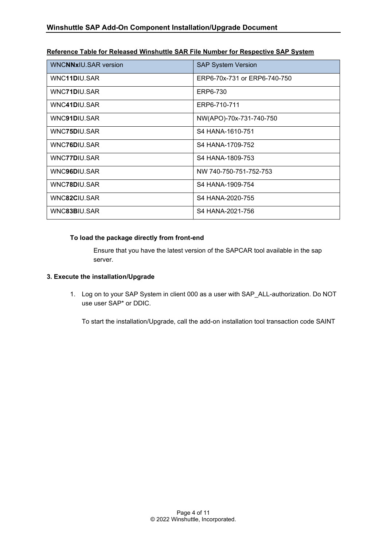| <b>WNCNNxIU.SAR version</b> | <b>SAP System Version</b>    |
|-----------------------------|------------------------------|
| WNC11DIU.SAR                | ERP6-70x-731 or ERP6-740-750 |
| WNC71DIU.SAR                | ERP6-730                     |
| WNC41DIU.SAR                | ERP6-710-711                 |
| WNC91DIU.SAR                | NW(APO)-70x-731-740-750      |
| WNC75DIU.SAR                | S4 HANA-1610-751             |
| WNC76DIU.SAR                | S4 HANA-1709-752             |
| WNC77DIU.SAR                | S4 HANA-1809-753             |
| WNC96DIU.SAR                | NW 740-750-751-752-753       |
| WNC78DIU.SAR                | S4 HANA-1909-754             |
| WNC82CIU.SAR                | S4 HANA-2020-755             |
| WNC83BIU.SAR                | S4 HANA-2021-756             |

#### **Reference Table for Released Winshuttle SAR File Number for Respective SAP System**

#### **To load the package directly from front-end**

Ensure that you have the latest version of the SAPCAR tool available in the sap server.

#### <span id="page-3-0"></span>**3. Execute the installation/Upgrade**

1. Log on to your SAP System in client 000 as a user with SAP\_ALL-authorization. Do NOT use user SAP\* or DDIC.

To start the installation/Upgrade, call the add-on installation tool transaction code SAINT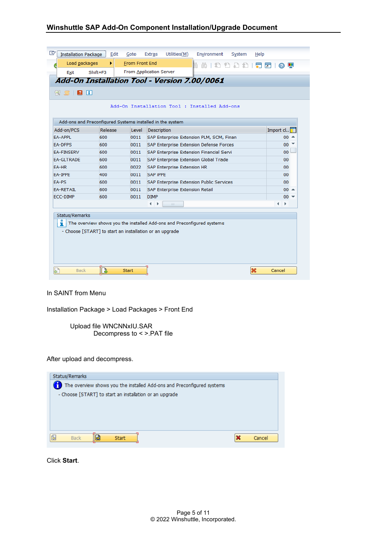| Ø<br>$\mathbf{H}$<br>GIRT |         |       |                                                                        |                 |
|---------------------------|---------|-------|------------------------------------------------------------------------|-----------------|
|                           |         |       | Add-On Installation Tool : Installed Add-ons                           |                 |
|                           |         |       | Add-ons and Preconfigured Systems installed in the system              |                 |
| Add-on/PCS                | Release | Level | <b>Description</b>                                                     | Import cl       |
| <b>EA-APPL</b>            | 600     | 0011  | SAP Enterprise Extension PLM, SCM, Finan                               | $00^{\circ}$    |
| <b>EA-DFPS</b>            | 600     | 0011  | SAP Enterprise Extension Defense Forces                                | $00^{-7}$       |
| <b>FA-FINSFRV</b>         | 600     | 0011  | SAP Enterprise Extension Financial Servi                               | 00              |
| <b>FA-GLTRADE</b>         | 600     | 0011  | SAP Enterprise Extension Global Trade                                  | 00 <sub>0</sub> |
| EA-HR                     | 600     | 0022  | SAP Enterprise Extension HR                                            | 00              |
| EA-IPPE                   | 400     | 0011  | <b>SAP IPPE</b>                                                        | 00              |
| EA-PS                     | 600     | 0011  | SAP Enterprise Extension Public Services                               | 00              |
| <b>EA-RETAIL</b>          | 600     | 0011  | SAP Enterprise Extension Retail                                        | $00 =$          |
| ECC-DIMP                  | 600     | 0011  | <b>DIMP</b>                                                            | $00 =$          |
|                           |         |       | aa.<br>٠                                                               | ∢<br>Þ          |
| Status/Remarks<br>ı       |         |       | The overview shows you the installed Add-ons and Preconfigured systems |                 |

#### In SAINT from Menu

Installation Package > Load Packages > Front End

Upload file WNCNNxIU.SAR Decompress to < >.PAT file

# After upload and decompress.

| Status/Remarks                                                         |             |
|------------------------------------------------------------------------|-------------|
| The overview shows you the installed Add-ons and Preconfigured systems |             |
| - Choose [START] to start an installation or an upgrade                |             |
|                                                                        |             |
|                                                                        |             |
|                                                                        |             |
|                                                                        |             |
| 6<br>Ы<br><b>Back</b><br><b>Start</b>                                  | ×<br>Cancel |

Click **Start**.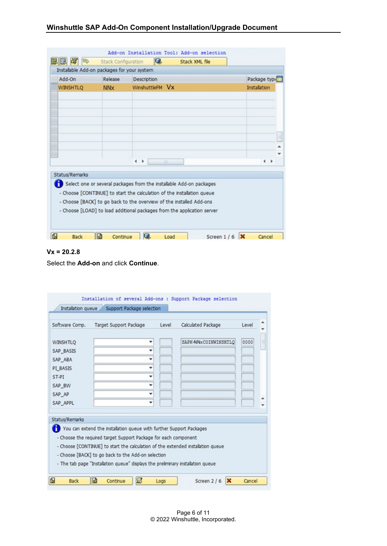| Add-On                | Installable Add-on packages for your system<br>Release | <b>Description</b>                                                      | Package type  |
|-----------------------|--------------------------------------------------------|-------------------------------------------------------------------------|---------------|
| <b>WINSHTLO</b>       | <b>NN<sub>x</sub></b>                                  | WinshuttleFM Vx                                                         | Installation  |
|                       |                                                        |                                                                         |               |
|                       |                                                        |                                                                         |               |
|                       |                                                        |                                                                         |               |
|                       |                                                        |                                                                         |               |
|                       |                                                        |                                                                         |               |
|                       |                                                        | $\leftarrow$                                                            | $\rightarrow$ |
| <b>Status/Remarks</b> |                                                        |                                                                         |               |
|                       |                                                        | Select one or several packages from the installable Add-on packages     |               |
|                       |                                                        | - Choose [CONTINUE] to start the calculation of the installation queue  |               |
|                       |                                                        | - Choose [BACK] to go back to the overview of the installed Add-ons     |               |
|                       |                                                        | - Choose [LOAD] to load additional packages from the application server |               |

# **Vx = 20.2.8**

Select the **Add-on** and click **Continue**.

| Software Comp.   | Target Support Package                                                          | Level | Calculated Package   | Level |
|------------------|---------------------------------------------------------------------------------|-------|----------------------|-------|
| <b>WINSHTLQ</b>  |                                                                                 |       | SAPK-NNxCOINWINSHTLO | 0000  |
| <b>SAP BASIS</b> |                                                                                 |       |                      |       |
| SAP ABA          |                                                                                 |       |                      |       |
| PI BASIS         |                                                                                 |       |                      |       |
| ST-PT            |                                                                                 |       |                      |       |
| SAP BW           |                                                                                 |       |                      |       |
| SAP AP           |                                                                                 |       |                      |       |
| SAP APPL         |                                                                                 |       |                      |       |
| Status/Remarks   | You can extend the installation queue with further Support Packages             |       |                      |       |
|                  | - Choose the required target Support Package for each component                 |       |                      |       |
|                  | - Choose [CONTINUE] to start the calculation of the extended installation queue |       |                      |       |
|                  | - Choose [BACK] to go back to the Add-on selection                              |       |                      |       |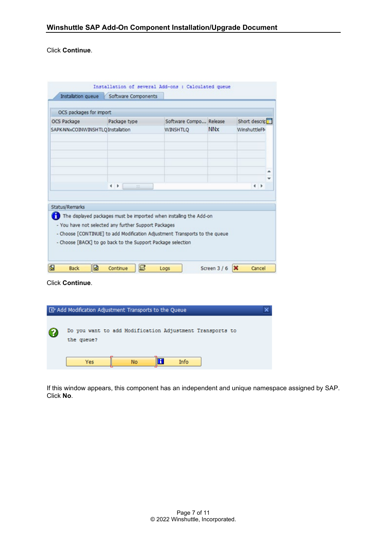Click **Continue**.

| Installation queue                | Software Components   |                        |                       |                             |
|-----------------------------------|-----------------------|------------------------|-----------------------|-----------------------------|
| OCS packages for import           |                       |                        |                       |                             |
| OCS Package                       | Package type          | Software Compo Release |                       | Short descric <sup>11</sup> |
| SAPK-NNxCOINWINSHTLQ Installation |                       | <b>WINSHTLQ</b>        | <b>NN<sub>x</sub></b> | WinshuttleFlv               |
|                                   |                       |                        |                       |                             |
|                                   |                       |                        |                       | ▲                           |
|                                   | $\leftarrow$<br>$-22$ |                        |                       | $\leftarrow$                |
|                                   |                       |                        |                       |                             |
| Status/Remarks                    |                       |                        |                       |                             |

Click **Continue**.

|   | E Add Modification Adjustment Transports to the Queue                  |  |
|---|------------------------------------------------------------------------|--|
| W | Do you want to add Modification Adjustment Transports to<br>the queue? |  |
|   | Info<br><b>No</b><br>Yes                                               |  |

If this window appears, this component has an independent and unique namespace assigned by SAP. Click **No**.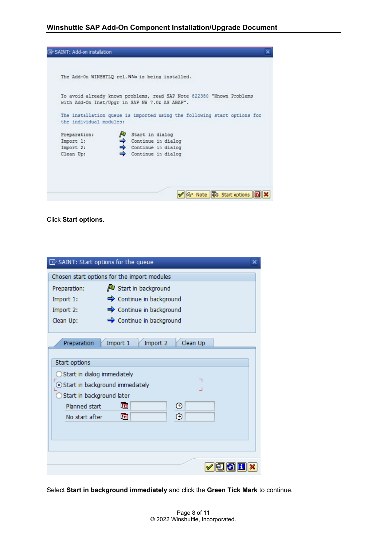|                         | The Add-On WINSHTLQ rel. NNx is being installed.                                                                        |
|-------------------------|-------------------------------------------------------------------------------------------------------------------------|
|                         | To avoid already known problems, read SAP Note 822380 "Known Problems<br>with Add-On Inst/Upgr in SAP NW 7.0x AS ABAP". |
| the individual modules: | The installation queue is imported using the following start options for                                                |
| Preparation:            | Start in dialog                                                                                                         |
| Import 1:               | $\Rightarrow$ Continue in dialog                                                                                        |
| Import 2:               | $\Rightarrow$ Continue in dialog                                                                                        |
| Clean Up:               | $\Rightarrow$ Continue in dialog                                                                                        |
|                         |                                                                                                                         |
|                         |                                                                                                                         |

Click **Start options**.

|                              | [cv] SAINT: Start options for the queue                             |  |
|------------------------------|---------------------------------------------------------------------|--|
|                              | Chosen start options for the import modules                         |  |
| Preparation:                 | V Start in background                                               |  |
| Import 1:                    | → Continue in background                                            |  |
| Import 2:                    | $\Rightarrow$ Continue in background                                |  |
| Clean Up:                    | ← Continue in background                                            |  |
| Preparation<br>Start options | Import 1<br>Clean Up<br>Import 2                                    |  |
| Start in background later    | Start in dialog immediately<br>┑<br>Start in background immediately |  |
| Planned start                | ⊕<br>啯                                                              |  |
| No start after               | ⊕<br>啯                                                              |  |
|                              |                                                                     |  |
|                              |                                                                     |  |
|                              |                                                                     |  |
|                              |                                                                     |  |

Select **Start in background immediately** and click the **Green Tick Mark** to continue.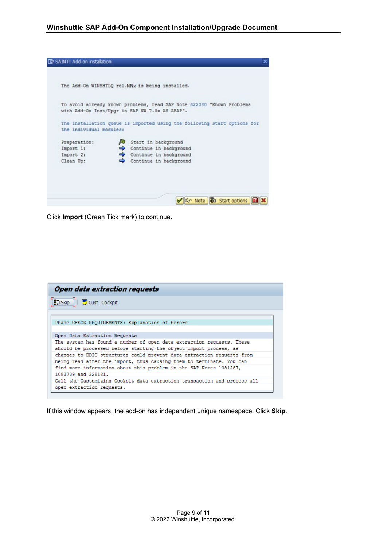|                         | The Add-On WINSHTLQ rel.NNx is being installed.                                                                         |
|-------------------------|-------------------------------------------------------------------------------------------------------------------------|
|                         |                                                                                                                         |
|                         | To avoid already known problems, read SAP Note 822380 "Known Problems<br>with Add-On Inst/Upgr in SAP NW 7.0x AS ABAP". |
|                         |                                                                                                                         |
|                         | The installation queue is imported using the following start options for                                                |
| the individual modules: |                                                                                                                         |
| Preparation:            | Start in background                                                                                                     |
| Import 1:               | Continue in background                                                                                                  |
| Import 2:               | $\Rightarrow$ Continue in background                                                                                    |
| Clean Up:               | $\Rightarrow$ Continue in background                                                                                    |
|                         |                                                                                                                         |
|                         |                                                                                                                         |

Click **Import** (Green Tick mark) to continue**.**

| <b>Open data extraction requests</b>                                     |
|--------------------------------------------------------------------------|
| BJ Skip     DCust. Cockpit                                               |
|                                                                          |
| Phase CHECK REQUIREMENTS: Explanation of Errors                          |
| Open Data Extraction Requests                                            |
| The system has found a number of open data extraction requests. These    |
| should be processed before starting the object import process, as        |
| changes to DDIC structures could prevent data extraction requests from   |
| being read after the import, thus causing them to terminate. You can     |
| find more information about this problem in the SAP Notes 1081287,       |
| 1083709 and 328181.                                                      |
| Call the Customizing Cockpit data extraction transaction and process all |
| open extraction requests.                                                |

If this window appears, the add-on has independent unique namespace. Click **Skip**.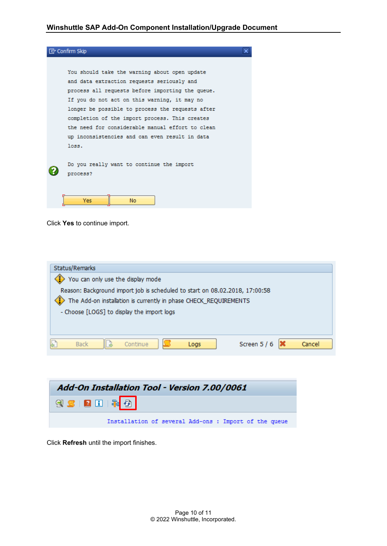

#### Click **Yes** to continue import.

| Status/Remarks                             |                                                                             |                        |
|--------------------------------------------|-----------------------------------------------------------------------------|------------------------|
| You can only use the display mode          |                                                                             |                        |
|                                            | Reason: Background import job is scheduled to start on 08.02.2018, 17:00:58 |                        |
|                                            | The Add-on installation is currently in phase CHECK_REQUIREMENTS            |                        |
| - Choose [LOGS] to display the import logs |                                                                             |                        |
|                                            |                                                                             |                        |
|                                            |                                                                             |                        |
| <b>Back</b>                                | Continue<br>Logs                                                            | Screen 5 / 6<br>Cancel |



Click **Refresh** until the import finishes.